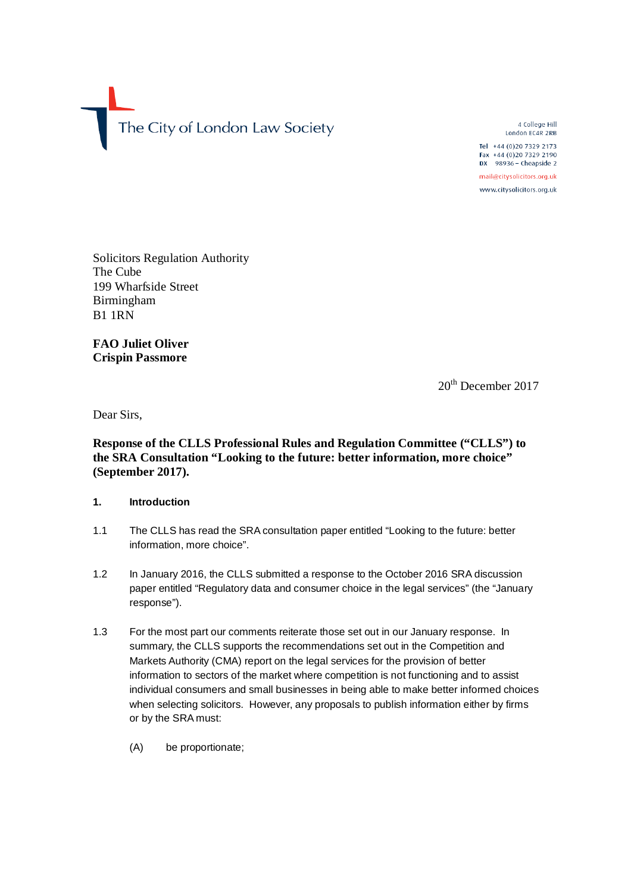The City of London Law Society

4 College Hill London EC4R 2RB

Tel +44 (0)20 7329 2173 Fax +44 (0)20 7329 2190 DX 98936 - Cheapside 2

mail@citysolicitors.org.uk

www.citysolicitors.org.uk

Solicitors Regulation Authority The Cube 199 Wharfside Street Birmingham B1 1RN

**FAO Juliet Oliver Crispin Passmore** 

20th December 2017

Dear Sirs,

# **Response of the CLLS Professional Rules and Regulation Committee ("CLLS") to the SRA Consultation "Looking to the future: better information, more choice" (September 2017).**

## **1. Introduction**

- 1.1 The CLLS has read the SRA consultation paper entitled "Looking to the future: better information, more choice".
- 1.2 In January 2016, the CLLS submitted a response to the October 2016 SRA discussion paper entitled "Regulatory data and consumer choice in the legal services" (the "January response").
- 1.3 For the most part our comments reiterate those set out in our January response. In summary, the CLLS supports the recommendations set out in the Competition and Markets Authority (CMA) report on the legal services for the provision of better information to sectors of the market where competition is not functioning and to assist individual consumers and small businesses in being able to make better informed choices when selecting solicitors. However, any proposals to publish information either by firms or by the SRA must:
	- (A) be proportionate;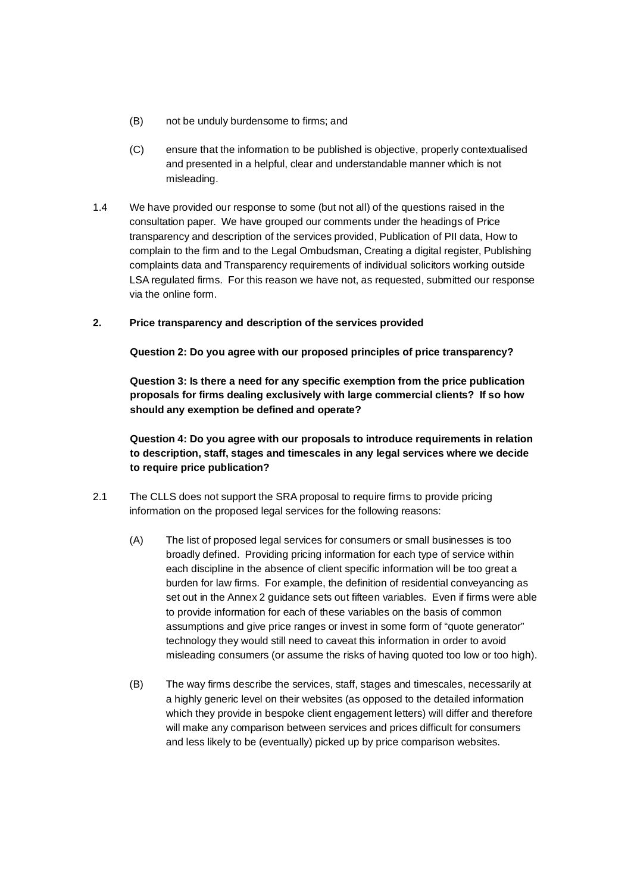- (B) not be unduly burdensome to firms; and
- (C) ensure that the information to be published is objective, properly contextualised and presented in a helpful, clear and understandable manner which is not misleading.
- 1.4 We have provided our response to some (but not all) of the questions raised in the consultation paper. We have grouped our comments under the headings of Price transparency and description of the services provided, Publication of PII data, How to complain to the firm and to the Legal Ombudsman, Creating a digital register, Publishing complaints data and Transparency requirements of individual solicitors working outside LSA regulated firms. For this reason we have not, as requested, submitted our response via the online form.

### **2. Price transparency and description of the services provided**

**Question 2: Do you agree with our proposed principles of price transparency?** 

**Question 3: Is there a need for any specific exemption from the price publication proposals for firms dealing exclusively with large commercial clients? If so how should any exemption be defined and operate?** 

**Question 4: Do you agree with our proposals to introduce requirements in relation to description, staff, stages and timescales in any legal services where we decide to require price publication?** 

- 2.1 The CLLS does not support the SRA proposal to require firms to provide pricing information on the proposed legal services for the following reasons:
	- (A) The list of proposed legal services for consumers or small businesses is too broadly defined. Providing pricing information for each type of service within each discipline in the absence of client specific information will be too great a burden for law firms. For example, the definition of residential conveyancing as set out in the Annex 2 guidance sets out fifteen variables. Even if firms were able to provide information for each of these variables on the basis of common assumptions and give price ranges or invest in some form of "quote generator" technology they would still need to caveat this information in order to avoid misleading consumers (or assume the risks of having quoted too low or too high).
	- (B) The way firms describe the services, staff, stages and timescales, necessarily at a highly generic level on their websites (as opposed to the detailed information which they provide in bespoke client engagement letters) will differ and therefore will make any comparison between services and prices difficult for consumers and less likely to be (eventually) picked up by price comparison websites.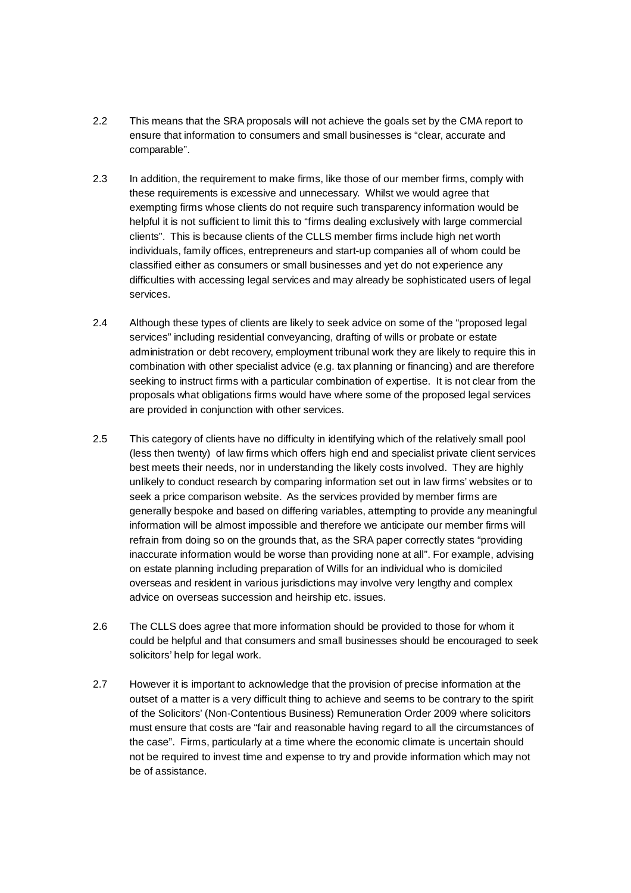- 2.2 This means that the SRA proposals will not achieve the goals set by the CMA report to ensure that information to consumers and small businesses is "clear, accurate and comparable".
- 2.3 In addition, the requirement to make firms, like those of our member firms, comply with these requirements is excessive and unnecessary. Whilst we would agree that exempting firms whose clients do not require such transparency information would be helpful it is not sufficient to limit this to "firms dealing exclusively with large commercial clients". This is because clients of the CLLS member firms include high net worth individuals, family offices, entrepreneurs and start-up companies all of whom could be classified either as consumers or small businesses and yet do not experience any difficulties with accessing legal services and may already be sophisticated users of legal services.
- 2.4 Although these types of clients are likely to seek advice on some of the "proposed legal services" including residential conveyancing, drafting of wills or probate or estate administration or debt recovery, employment tribunal work they are likely to require this in combination with other specialist advice (e.g. tax planning or financing) and are therefore seeking to instruct firms with a particular combination of expertise. It is not clear from the proposals what obligations firms would have where some of the proposed legal services are provided in conjunction with other services.
- 2.5 This category of clients have no difficulty in identifying which of the relatively small pool (less then twenty) of law firms which offers high end and specialist private client services best meets their needs, nor in understanding the likely costs involved. They are highly unlikely to conduct research by comparing information set out in law firms' websites or to seek a price comparison website. As the services provided by member firms are generally bespoke and based on differing variables, attempting to provide any meaningful information will be almost impossible and therefore we anticipate our member firms will refrain from doing so on the grounds that, as the SRA paper correctly states "providing inaccurate information would be worse than providing none at all". For example, advising on estate planning including preparation of Wills for an individual who is domiciled overseas and resident in various jurisdictions may involve very lengthy and complex advice on overseas succession and heirship etc. issues.
- 2.6 The CLLS does agree that more information should be provided to those for whom it could be helpful and that consumers and small businesses should be encouraged to seek solicitors' help for legal work.
- 2.7 However it is important to acknowledge that the provision of precise information at the outset of a matter is a very difficult thing to achieve and seems to be contrary to the spirit of the Solicitors' (Non-Contentious Business) Remuneration Order 2009 where solicitors must ensure that costs are "fair and reasonable having regard to all the circumstances of the case". Firms, particularly at a time where the economic climate is uncertain should not be required to invest time and expense to try and provide information which may not be of assistance.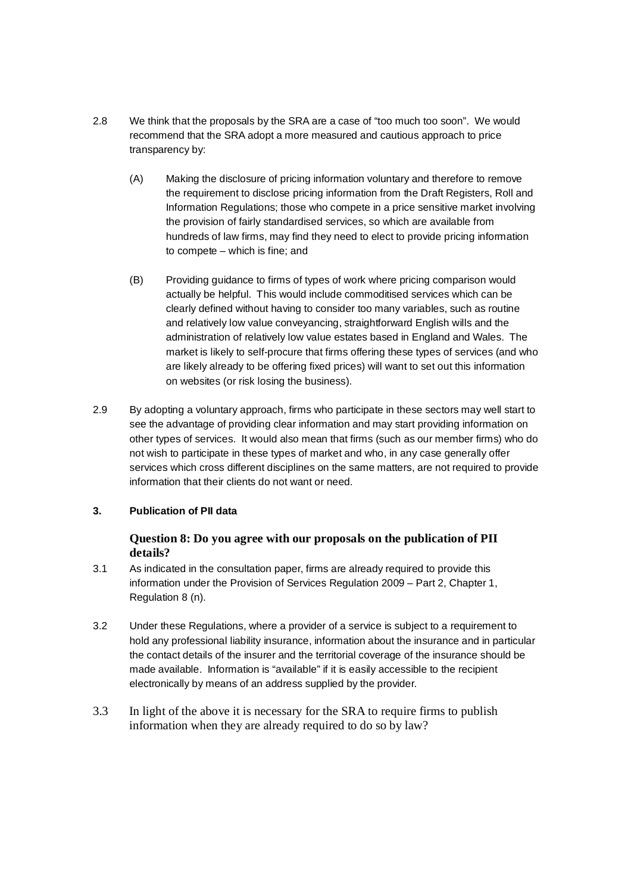- 2.8 We think that the proposals by the SRA are a case of "too much too soon". We would recommend that the SRA adopt a more measured and cautious approach to price transparency by:
	- (A) Making the disclosure of pricing information voluntary and therefore to remove the requirement to disclose pricing information from the Draft Registers, Roll and Information Regulations; those who compete in a price sensitive market involving the provision of fairly standardised services, so which are available from hundreds of law firms, may find they need to elect to provide pricing information to compete – which is fine; and
	- (B) Providing guidance to firms of types of work where pricing comparison would actually be helpful. This would include commoditised services which can be clearly defined without having to consider too many variables, such as routine and relatively low value conveyancing, straightforward English wills and the administration of relatively low value estates based in England and Wales. The market is likely to self-procure that firms offering these types of services (and who are likely already to be offering fixed prices) will want to set out this information on websites (or risk losing the business).
- 2.9 By adopting a voluntary approach, firms who participate in these sectors may well start to see the advantage of providing clear information and may start providing information on other types of services. It would also mean that firms (such as our member firms) who do not wish to participate in these types of market and who, in any case generally offer services which cross different disciplines on the same matters, are not required to provide information that their clients do not want or need.

## **3. Publication of PII data**

# **Question 8: Do you agree with our proposals on the publication of PII details?**

- 3.1 As indicated in the consultation paper, firms are already required to provide this information under the Provision of Services Regulation 2009 – Part 2, Chapter 1, Regulation 8 (n).
- 3.2 Under these Regulations, where a provider of a service is subject to a requirement to hold any professional liability insurance, information about the insurance and in particular the contact details of the insurer and the territorial coverage of the insurance should be made available. Information is "available" if it is easily accessible to the recipient electronically by means of an address supplied by the provider.
- 3.3 In light of the above it is necessary for the SRA to require firms to publish information when they are already required to do so by law?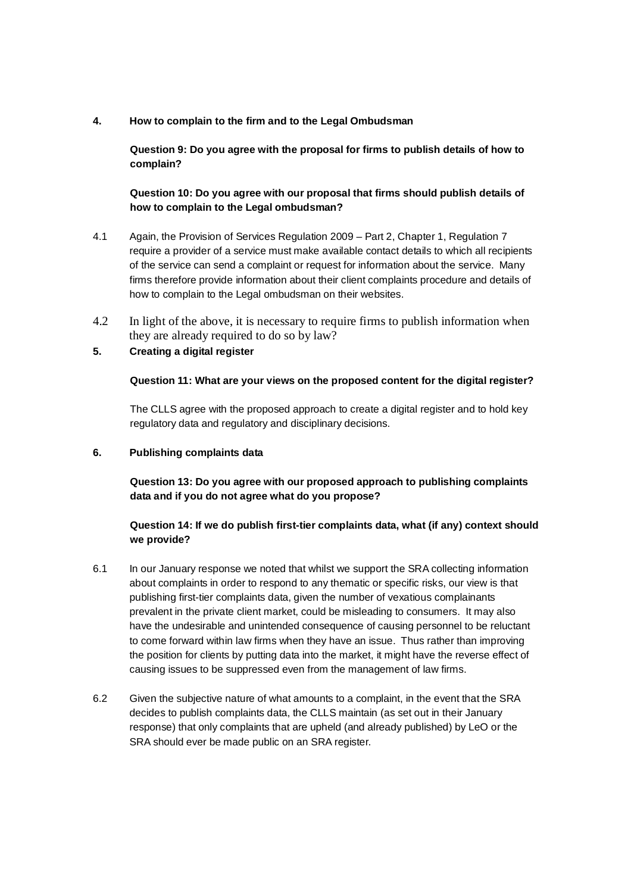**4. How to complain to the firm and to the Legal Ombudsman** 

**Question 9: Do you agree with the proposal for firms to publish details of how to complain?** 

**Question 10: Do you agree with our proposal that firms should publish details of how to complain to the Legal ombudsman?** 

- 4.1 Again, the Provision of Services Regulation 2009 Part 2, Chapter 1, Regulation 7 require a provider of a service must make available contact details to which all recipients of the service can send a complaint or request for information about the service. Many firms therefore provide information about their client complaints procedure and details of how to complain to the Legal ombudsman on their websites.
- 4.2 In light of the above, it is necessary to require firms to publish information when they are already required to do so by law?

### **5. Creating a digital register**

#### **Question 11: What are your views on the proposed content for the digital register?**

The CLLS agree with the proposed approach to create a digital register and to hold key regulatory data and regulatory and disciplinary decisions.

#### **6. Publishing complaints data**

**Question 13: Do you agree with our proposed approach to publishing complaints data and if you do not agree what do you propose?**

## **Question 14: If we do publish first-tier complaints data, what (if any) context should we provide?**

- 6.1 In our January response we noted that whilst we support the SRA collecting information about complaints in order to respond to any thematic or specific risks, our view is that publishing first-tier complaints data, given the number of vexatious complainants prevalent in the private client market, could be misleading to consumers. It may also have the undesirable and unintended consequence of causing personnel to be reluctant to come forward within law firms when they have an issue. Thus rather than improving the position for clients by putting data into the market, it might have the reverse effect of causing issues to be suppressed even from the management of law firms.
- 6.2 Given the subjective nature of what amounts to a complaint, in the event that the SRA decides to publish complaints data, the CLLS maintain (as set out in their January response) that only complaints that are upheld (and already published) by LeO or the SRA should ever be made public on an SRA register.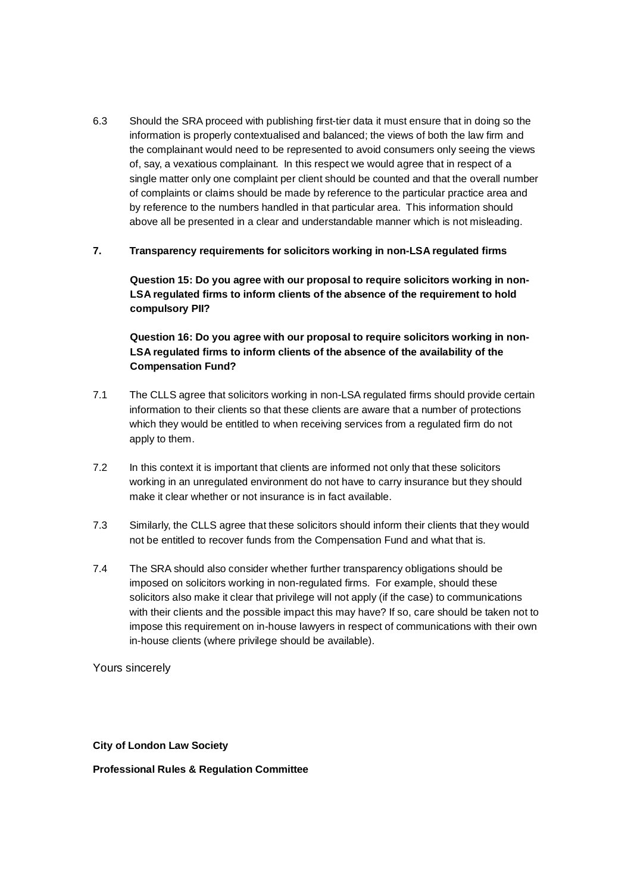6.3 Should the SRA proceed with publishing first-tier data it must ensure that in doing so the information is properly contextualised and balanced; the views of both the law firm and the complainant would need to be represented to avoid consumers only seeing the views of, say, a vexatious complainant. In this respect we would agree that in respect of a single matter only one complaint per client should be counted and that the overall number of complaints or claims should be made by reference to the particular practice area and by reference to the numbers handled in that particular area. This information should above all be presented in a clear and understandable manner which is not misleading.

## **7. Transparency requirements for solicitors working in non-LSA regulated firms**

**Question 15: Do you agree with our proposal to require solicitors working in non-LSA regulated firms to inform clients of the absence of the requirement to hold compulsory PII?** 

**Question 16: Do you agree with our proposal to require solicitors working in non-LSA regulated firms to inform clients of the absence of the availability of the Compensation Fund?** 

- 7.1 The CLLS agree that solicitors working in non-LSA regulated firms should provide certain information to their clients so that these clients are aware that a number of protections which they would be entitled to when receiving services from a regulated firm do not apply to them.
- 7.2 In this context it is important that clients are informed not only that these solicitors working in an unregulated environment do not have to carry insurance but they should make it clear whether or not insurance is in fact available.
- 7.3 Similarly, the CLLS agree that these solicitors should inform their clients that they would not be entitled to recover funds from the Compensation Fund and what that is.
- 7.4 The SRA should also consider whether further transparency obligations should be imposed on solicitors working in non-regulated firms. For example, should these solicitors also make it clear that privilege will not apply (if the case) to communications with their clients and the possible impact this may have? If so, care should be taken not to impose this requirement on in-house lawyers in respect of communications with their own in-house clients (where privilege should be available).

Yours sincerely

**City of London Law Society** 

#### **Professional Rules & Regulation Committee**